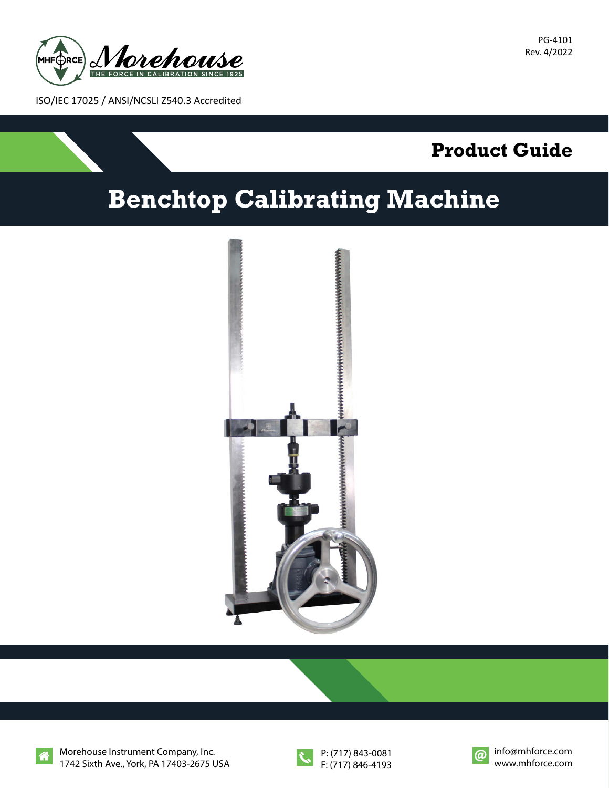

PG-4101 Rev. 4/2022

ISO/IEC 17025 / ANSI/NCSLI Z540.3 Accredited



## **Benchtop Calibrating Machine**





Morehouse Instrument Company, Inc. 1742 Sixth Ave., York, PA 17403-2675 USA





 $\omega$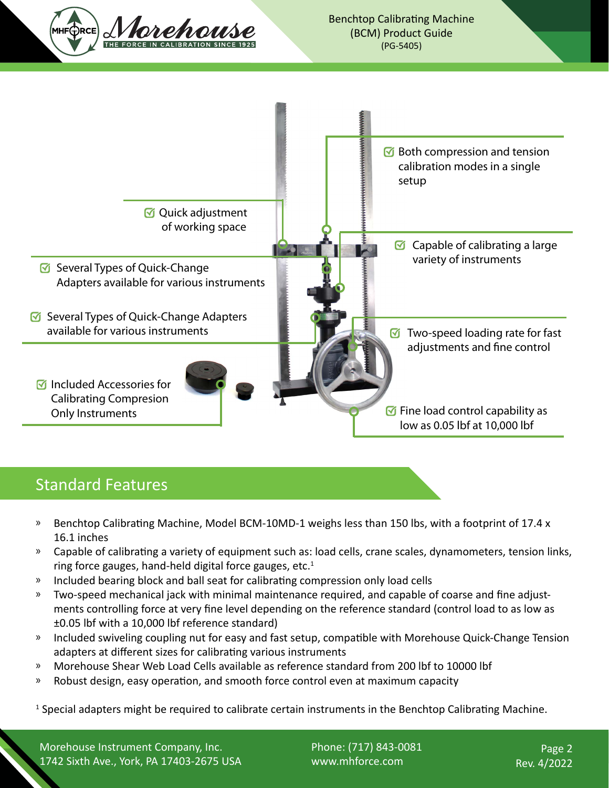

## Standard Features

- » Benchtop Calibrating Machine, Model BCM-10MD-1 weighs less than 150 lbs, with a footprint of 17.4 x 16.1 inches
- » Capable of calibrating a variety of equipment such as: load cells, crane scales, dynamometers, tension links, ring force gauges, hand-held digital force gauges, etc. $1$
- » Included bearing block and ball seat for calibrating compression only load cells
- » Two-speed mechanical jack with minimal maintenance required, and capable of coarse and fine adjustments controlling force at very fine level depending on the reference standard (control load to as low as ±0.05 lbf with a 10,000 lbf reference standard)
- » Included swiveling coupling nut for easy and fast setup, compatible with Morehouse Quick-Change Tension adapters at different sizes for calibrating various instruments
- Ů Morehouse Shear Web Load Cells available as reference standard from 200 lbf to 10000 lbf
- Ů Robust design, easy operation, and smooth force control even at maximum capacity

<sup>1</sup> Special adapters might be required to calibrate certain instruments in the Benchtop Calibrating Machine.

Morehouse Instrument Company, Inc. 1742 Sixth Ave., York, PA 17403-2675 USA Phone: (717) 843-0081 www.mhforce.com